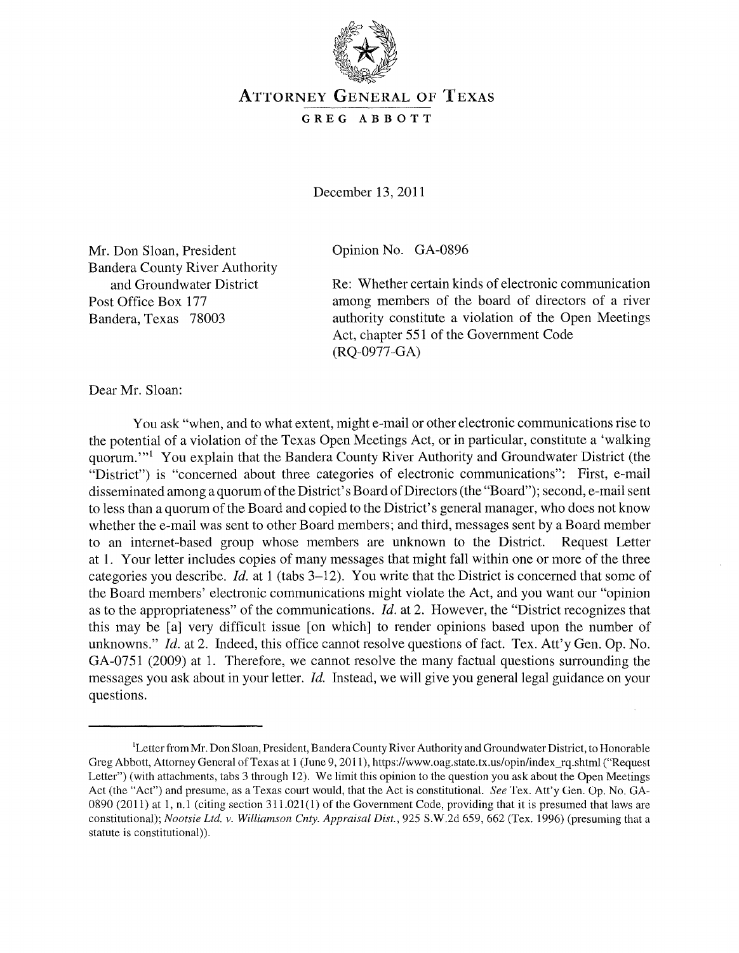

## ATTORNEY GENERAL OF TEXAS

## GREG ABBOTT

December 13, 2011

Mr. Don Sloan, President Bandera County River Authority and Groundwater District Post Office Box 177 Bandera, Texas 78003

Opinion No. GA-0896

Re: Whether certain kinds of electronic communication among members of the board of directors of a river authority constitute a violation of the Open Meetings Act, chapter 551 of the Government Code (RQ-0977-GA)

Dear Mr. Sloan:

You ask "when, and to what extent, might e-mail or other electronic communications rise to the potential of a violation of the Texas Open Meetings Act, or in particular, constitute a 'walking quorum."<sup>1</sup> You explain that the Bandera County River Authority and Groundwater District (the "District") is "concerned about three categories of electronic communications": First, e-mail disseminated among a quorum of the District's Board of Directors (the "Board"); second, e-mail sent to less than a quorum of the Board and copied to the District's general manager, who does not know whether the e-mail was sent to other Board members; and third, messages sent by a Board member to an internet-based group whose members are unknown to the District. Request Letter at 1. Your letter includes copies of many messages that might fall within one or more of the three categories you describe. *Id.* at 1 (tabs 3-12). You write that the District is concerned that some of the Board members' electronic communications might violate the Act, and you want our "opinion as to the appropriateness" of the communications. *Id.* at 2. However, the "District recognizes that this may be [a] very difficult issue [on which] to render opinions based upon the number of unknowns." *Id.* at 2. Indeed, this office cannot resolve questions of fact. Tex. Att'y Gen. Op. No. GA-0751 (2009) at 1. Therefore, we cannot resolve the many factual questions surrounding the messages you ask about in your letter. *Id.* Instead, we will give you general legal guidance on your questions.

<sup>&</sup>lt;sup>1</sup>Letter from Mr. Don Sloan, President, Bandera County River Authority and Groundwater District, to Honorable Greg Abbott, Attorney General of Texas at 1 (June 9, 2011), https://www.oag.state.tx.us/opin/index\_rq.shtml ("Request Letter") (with attachments, tabs 3 through 12). We limit this opinion to the question you ask about the Open Meetings Act (the "Act") and presume, as a Texas court WOUld, that the Act is constitutional. *See* Tex. Att'y Gen. Op. No. GA-0890 (2011) at 1, n.1 (citing section 311.021(1) of the Government Code, providing that it is presumed that laws are constitutional); *Nootsie Ltd. v. Williamson Cnty. Appraisal Dist.*, 925 S.W.2d 659, 662 (Tex. 1996) (presuming that a statute is constitutional)).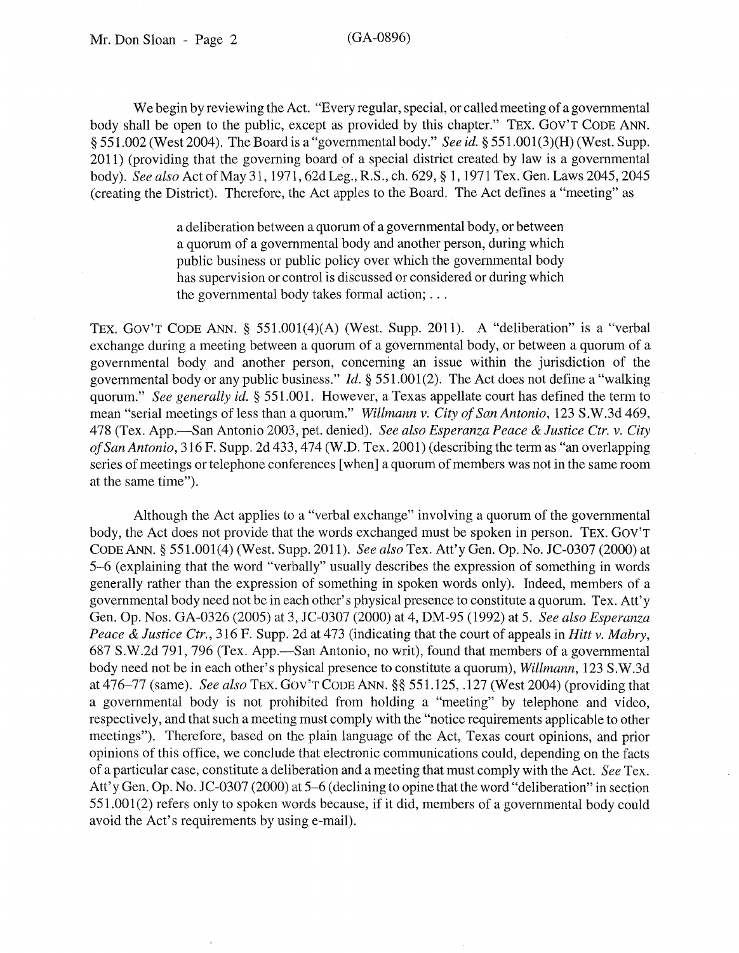We begin by reviewing the Act. "Every regular, special, or called meeting of a governmental body shall be open to the public, except as provided by this chapter." TEX. GOY'T CODE ANN. § 551.002 (West 2004). The Board is a "governmental body." *See id.* § 551.001(3)(H)(West. Supp. 2011) (providing that the governing board of a special district created by law is a governmental body). *See also* ActofMay31, 1971, 62dLeg., R.S., ch. 629, § 1,1971 Tex. Gen.Laws2045,2045 (creating the District). Therefore, the Act apples to the Board. The Act defines a "meeting" as

> a deliberation between a quorum of a governmental body, or between a quorum of a governmental body and another person, during which public business or public policy over which the governmental body has supervision or control is discussed or considered or during which the governmental body takes formal action; ...

TEX. GOy'T CODE ANN. § 551.001(4)(A) (West. Supp. 2011). A "deliberation" is a "verbal exchange during a meeting between a quorum of a governmental body, or between a quorum of a governmental body and another person, concerning an issue within the jurisdiction of the governmental body or any public business." *Id.* § 551.001(2). The Act does not define a "walking quorum." *See generally id.* § 551.001. However, a Texas appellate court has defined the term to mean "serial meetings of less than a quorum." *Willmann* v. *City of San Antonio,* 123 S.W.3d 469, 478 (Tex. App.-San Antonio 2003, pet. denied). *See also Esperanza Peace* & *Justice Ctr.* v. *City of San Antonio,* 316 F. Supp. 2d 433,474 (W.D. Tex. 2001) (describing the term as "an overlapping series of meetings or telephone conferences [when] a quorum of members was not in the same room at the same time").

Although the Act applies to a "verbal exchange" involving a quorum of the governmental body, the Act does not provide that the words exchanged must be spoken in person. TEX. GOY'T CODE ANN. § 551.001(4) (West. Supp. 2011). *See also* Tex. Att'y Gen. Op. No. JC-0307 (2000) at 5-6 (explaining that the word "verbally" usually describes the expression of something in words generally rather than the expression of something in spoken words only). Indeed, members of a governmental body need not be in each other's physical presence to constitute a quorum. Tex. Att'y Gen. Op. Nos. GA-0326 (2005) at 3, JC-0307 (2000) at 4, DM-95 (1992) at 5. *See also Esperanza Peace* & *Justice Ctr.,* 316 F. Supp. 2d at 473 (indicating that the court of appeals in *Hitt* v. *Mabry,*  687 S.W.2d 791, 796 (Tex. App.—San Antonio, no writ), found that members of a governmental body need not be in each other's physical presence to constitute a quorum), *Willmann,* 123 S.W.3d at 476-77 (same). *See also* TEX. GOy'T CODE ANN. §§ 551.125, .127 (West 2004) (providing that a governmental body is not prohibited from holding a "meeting" by telephone and video, respectively, and that such a meeting must comply with the "notice requirements applicable to other meetings"). Therefore, based on the plain language of the Act, Texas court opinions, and prior opinions of this office, we conclude that electronic communications could, depending on the facts of a particular case, constitute a deliberation and a meeting that must comply with the Act. *See* Tex. Att'y Gen. Op. No. JC-0307 (2000) at 5-6 (declining to opine that the word "deliberation" in section 551.001(2) refers only to spoken words because, if it did, members of a governmental body could avoid the Act's requirements by using e-mail).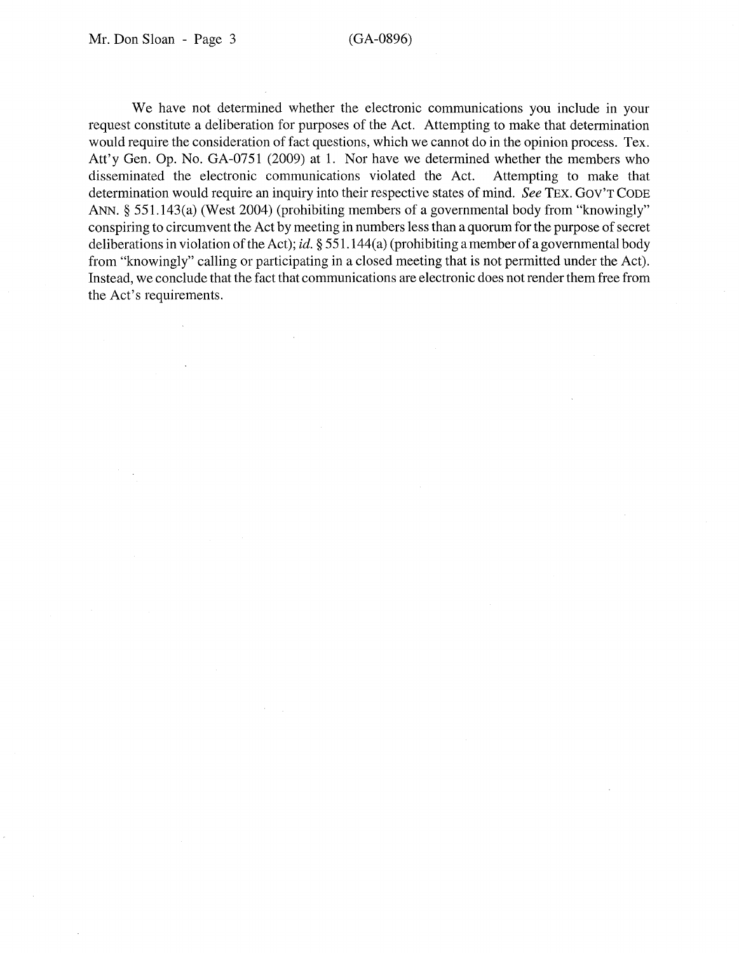We have not determined whether the electronic communications you include in your request constitute a deliberation for purposes of the Act. Attempting to make that determination would require the consideration of fact questions, which we cannot do in the opinion process. Tex. Att'y Gen. Op. No. GA-0751 (2009) at 1. Nor have we determined whether the members who disseminated the electronic communications violated the Act. Attempting to make that disseminated the electronic communications violated the Act. determination would require an inquiry into their respective states of mind. *See* TEX. GOV'T CODE ANN. § 551.143(a) (West 2004) (prohibiting members of a governmental body from "knowingly" conspiring to circumvent the Act by meeting in numbers less than a quorum for the purpose of secret deliberations in violation of the Act); id. § 551.144(a) (prohibiting a member of a governmental body from "knowingly" calling or participating in a closed meeting that is not permitted under the Act). Instead, we conclude that the fact that communications are electronic does not render them free from the Act's requirements.